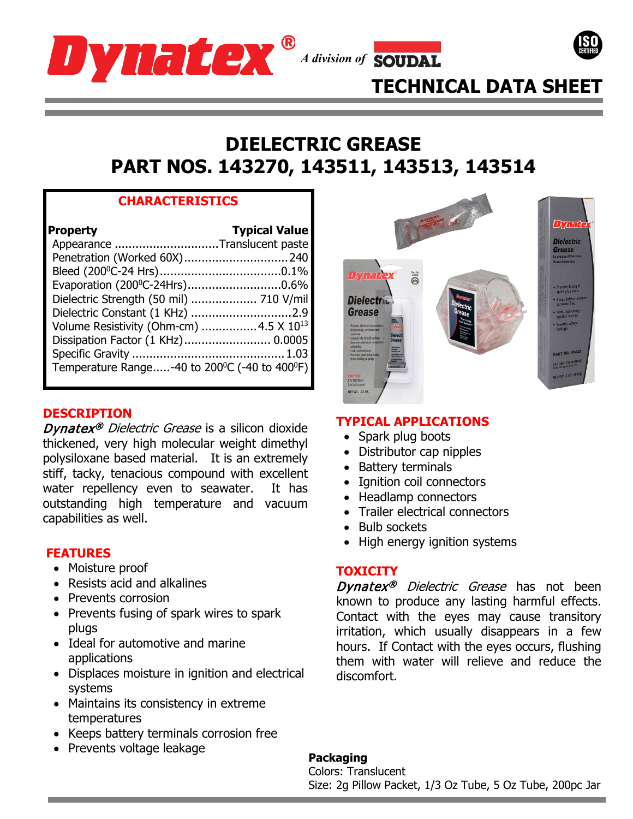





# **DIELECTRIC GREASE PART NOS. 143270, 143511, 143513, 143514**

# **CHARACTERISTICS**

| <b>Property</b><br>Appearance Translucent paste<br>Penetration (Worked 60X) 240<br>Evaporation (200°C-24Hrs)0.6% | <b>Typical Value</b> |
|------------------------------------------------------------------------------------------------------------------|----------------------|
|                                                                                                                  |                      |
| Dielectric Strength (50 mil)  710 V/mil<br>Dielectric Constant (1 KHz) 2.9                                       |                      |
| Volume Resistivity (Ohm-cm) 4.5 X 10 <sup>13</sup><br>Dissipation Factor (1 KHz) 0.0005                          |                      |
| Temperature Range-40 to 200 <sup>°</sup> C (-40 to 400 <sup>°</sup> F)                                           |                      |

# **DESCRIPTION**

Dynatex<sup>®</sup> Dielectric Grease is a silicon dioxide thickened, very high molecular weight dimethyl polysiloxane based material. It is an extremely stiff, tacky, tenacious compound with excellent water repellency even to seawater. It has outstanding high temperature and vacuum capabilities as well.

- Moisture proof
- Resists acid and alkalines
- Prevents corrosion
- Prevents fusing of spark wires to spark plugs
- Ideal for automotive and marine applications
- Displaces moisture in ignition and electrical systems
- Maintains its consistency in extreme temperatures
- Keeps battery terminals corrosion free
- Prevents voltage leakage



# **TYPICAL APPLICATIONS**

- Spark plug boots
- Distributor cap nipples
- Battery terminals
- Ignition coil connectors
- Headlamp connectors
- Trailer electrical connectors
- Bulb sockets
- High energy ignition systems **FEATURES**

# **TOXICITY**

Dynatex<sup>®</sup> Dielectric Grease has not been known to produce any lasting harmful effects. Contact with the eyes may cause transitory irritation, which usually disappears in a few hours. If Contact with the eyes occurs, flushing them with water will relieve and reduce the discomfort.

# **Packaging**

Colors: Translucent Size: 2g Pillow Packet, 1/3 Oz Tube, 5 Oz Tube, 200pc Jar